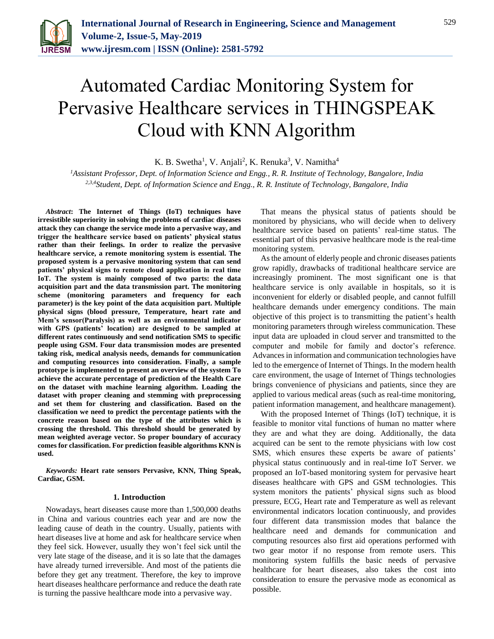

# Automated Cardiac Monitoring System for Pervasive Healthcare services in THINGSPEAK Cloud with KNN Algorithm

K. B. Swetha<sup>1</sup>, V. Anjali<sup>2</sup>, K. Renuka<sup>3</sup>, V. Namitha<sup>4</sup>

*<sup>1</sup>Assistant Professor, Dept. of Information Science and Engg., R. R. Institute of Technology, Bangalore, India 2,3,4Student, Dept. of Information Science and Engg., R. R. Institute of Technology, Bangalore, India*

*Abstract***: The Internet of Things (IoT) techniques have irresistible superiority in solving the problems of cardiac diseases attack they can change the service mode into a pervasive way, and trigger the healthcare service based on patients' physical status rather than their feelings. In order to realize the pervasive healthcare service, a remote monitoring system is essential. The proposed system is a pervasive monitoring system that can send patients' physical signs to remote cloud application in real time IoT. The system is mainly composed of two parts: the data acquisition part and the data transmission part. The monitoring scheme (monitoring parameters and frequency for each parameter) is the key point of the data acquisition part. Multiple physical signs (blood pressure, Temperature, heart rate and Mem's sensor(Paralysis) as well as an environmental indicator with GPS (patients' location) are designed to be sampled at different rates continuously and send notification SMS to specific people using GSM. Four data transmission modes are presented taking risk, medical analysis needs, demands for communication and computing resources into consideration. Finally, a sample prototype is implemented to present an overview of the system To achieve the accurate percentage of prediction of the Health Care on the dataset with machine learning algorithm. Loading the dataset with proper cleaning and stemming with preprocessing and set them for clustering and classification. Based on the classification we need to predict the percentage patients with the concrete reason based on the type of the attributes which is crossing the threshold. This threshold should be generated by mean weighted average vector. So proper boundary of accuracy comes for classification. For prediction feasible algorithms KNN is used.**

*Keywords:* **Heart rate sensors Pervasive, KNN, Thing Speak, Cardiac, GSM.**

#### **1. Introduction**

Nowadays, heart diseases cause more than 1,500,000 deaths in China and various countries each year and are now the leading cause of death in the country. Usually, patients with heart diseases live at home and ask for healthcare service when they feel sick. However, usually they won't feel sick until the very late stage of the disease, and it is so late that the damages have already turned irreversible. And most of the patients die before they get any treatment. Therefore, the key to improve heart diseases healthcare performance and reduce the death rate is turning the passive healthcare mode into a pervasive way.

That means the physical status of patients should be monitored by physicians, who will decide when to delivery healthcare service based on patients' real-time status. The essential part of this pervasive healthcare mode is the real-time monitoring system.

As the amount of elderly people and chronic diseases patients grow rapidly, drawbacks of traditional healthcare service are increasingly prominent. The most significant one is that healthcare service is only available in hospitals, so it is inconvenient for elderly or disabled people, and cannot fulfill healthcare demands under emergency conditions. The main objective of this project is to transmitting the patient's health monitoring parameters through wireless communication. These input data are uploaded in cloud server and transmitted to the computer and mobile for family and doctor's reference. Advances in information and communication technologies have led to the emergence of Internet of Things. In the modern health care environment, the usage of Internet of Things technologies brings convenience of physicians and patients, since they are applied to various medical areas (such as real-time monitoring, patient information management, and healthcare management).

With the proposed Internet of Things (IoT) technique, it is feasible to monitor vital functions of human no matter where they are and what they are doing. Additionally, the data acquired can be sent to the remote physicians with low cost SMS, which ensures these experts be aware of patients' physical status continuously and in real-time IoT Server. we proposed an IoT-based monitoring system for pervasive heart diseases healthcare with GPS and GSM technologies. This system monitors the patients' physical signs such as blood pressure, ECG, Heart rate and Temperature as well as relevant environmental indicators location continuously, and provides four different data transmission modes that balance the healthcare need and demands for communication and computing resources also first aid operations performed with two gear motor if no response from remote users. This monitoring system fulfills the basic needs of pervasive healthcare for heart diseases, also takes the cost into consideration to ensure the pervasive mode as economical as possible.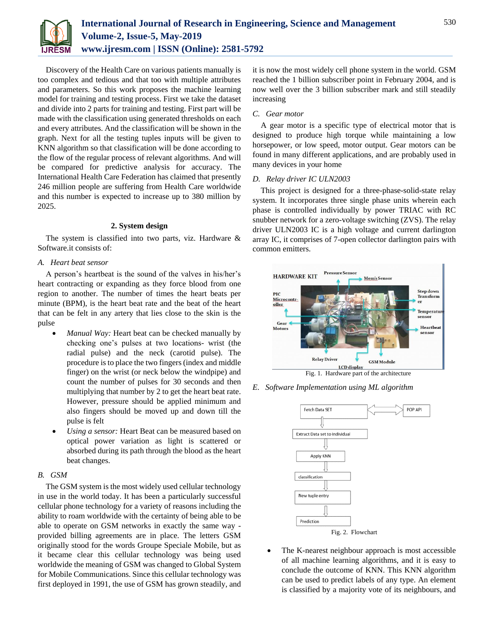

Discovery of the Health Care on various patients manually is too complex and tedious and that too with multiple attributes and parameters. So this work proposes the machine learning model for training and testing process. First we take the dataset and divide into 2 parts for training and testing. First part will be made with the classification using generated thresholds on each and every attributes. And the classification will be shown in the graph. Next for all the testing tuples inputs will be given to KNN algorithm so that classification will be done according to the flow of the regular process of relevant algorithms. And will be compared for predictive analysis for accuracy. The International Health Care Federation has claimed that presently 246 million people are suffering from Health Care worldwide and this number is expected to increase up to 380 million by 2025.

# **2. System design**

The system is classified into two parts, viz. Hardware & Software.it consists of:

## *A. Heart beat sensor*

A person's heartbeat is the sound of the valves in his/her's heart contracting or expanding as they force blood from one region to another. The number of times the heart beats per minute (BPM), is the heart beat rate and the beat of the heart that can be felt in any artery that lies close to the skin is the pulse

- *Manual Way:* Heart beat can be checked manually by checking one's pulses at two locations- wrist (the radial pulse) and the neck (carotid pulse). The procedure is to place the two fingers (index and middle finger) on the wrist (or neck below the windpipe) and count the number of pulses for 30 seconds and then multiplying that number by 2 to get the heart beat rate. However, pressure should be applied minimum and also fingers should be moved up and down till the pulse is felt
- *Using a sensor:* Heart Beat can be measured based on optical power variation as light is scattered or absorbed during its path through the blood as the heart beat changes.

# *B. GSM*

The GSM system is the most widely used cellular technology in use in the world today. It has been a particularly successful cellular phone technology for a variety of reasons including the ability to roam worldwide with the certainty of being able to be able to operate on GSM networks in exactly the same way provided billing agreements are in place. The letters GSM originally stood for the words Groupe Speciale Mobile, but as it became clear this cellular technology was being used worldwide the meaning of GSM was changed to Global System for Mobile Communications. Since this cellular technology was first deployed in 1991, the use of GSM has grown steadily, and it is now the most widely cell phone system in the world. GSM reached the 1 billion subscriber point in February 2004, and is now well over the 3 billion subscriber mark and still steadily increasing

# *C. Gear motor*

A gear motor is a specific type of electrical motor that is designed to produce high torque while maintaining a low horsepower, or low speed, motor output. Gear motors can be found in many different applications, and are probably used in many devices in your home

## *D. Relay driver IC ULN2003*

This project is designed for a three-phase-solid-state relay system. It incorporates three single phase units wherein each phase is controlled individually by power TRIAC with RC snubber network for a zero-voltage switching (ZVS). The relay driver ULN2003 IC is a high voltage and current darlington array IC, it comprises of 7-open collector darlington pairs with common emitters.



*E. Software Implementation using ML algorithm*



 The K-nearest neighbour approach is most accessible of all machine learning algorithms, and it is easy to conclude the outcome of KNN. This KNN algorithm can be used to predict labels of any type. An element is classified by a majority vote of its neighbours, and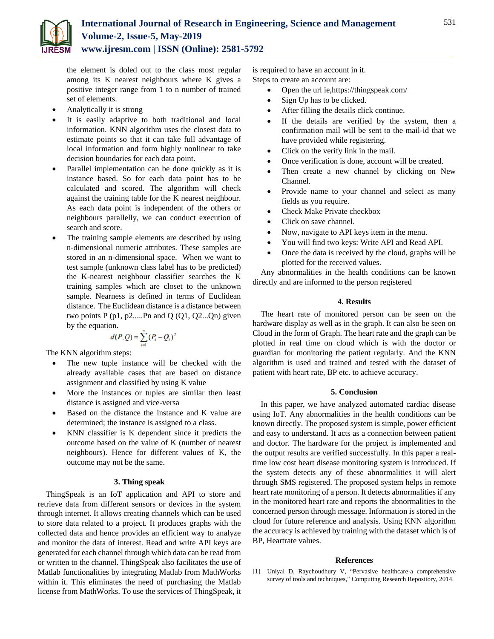

the element is doled out to the class most regular among its K nearest neighbours where K gives a positive integer range from 1 to n number of trained set of elements.

- Analytically it is strong
- It is easily adaptive to both traditional and local information. KNN algorithm uses the closest data to estimate points so that it can take full advantage of local information and form highly nonlinear to take decision boundaries for each data point.
- Parallel implementation can be done quickly as it is instance based. So for each data point has to be calculated and scored. The algorithm will check against the training table for the K nearest neighbour. As each data point is independent of the others or neighbours parallelly, we can conduct execution of search and score.
- The training sample elements are described by using n-dimensional numeric attributes. These samples are stored in an n-dimensional space. When we want to test sample (unknown class label has to be predicted) the K-nearest neighbour classifier searches the K training samples which are closet to the unknown sample. Nearness is defined in terms of Euclidean distance. The Euclidean distance is a distance between two points  $P(p1, p2...Pn$  and  $Q(Q1, Q2...Qn)$  given by the equation.

$$
d(P,Q) = \sum_{i=1}^{n} (P_i - Q_i)^2
$$

The KNN algorithm steps:

- The new tuple instance will be checked with the already available cases that are based on distance assignment and classified by using K value
- More the instances or tuples are similar then least distance is assigned and vice-versa
- Based on the distance the instance and K value are determined; the instance is assigned to a class.
- KNN classifier is K dependent since it predicts the outcome based on the value of K (number of nearest neighbours). Hence for different values of K, the outcome may not be the same.

#### **3. Thing speak**

ThingSpeak is an IoT application and API to store and retrieve data from different sensors or devices in the system through internet. It allows creating channels which can be used to store data related to a project. It produces graphs with the collected data and hence provides an efficient way to analyze and monitor the data of interest. Read and write API keys are generated for each channel through which data can be read from or written to the channel. ThingSpeak also facilitates the use of Matlab functionalities by integrating Matlab from MathWorks within it. This eliminates the need of purchasing the Matlab license from MathWorks. To use the services of ThingSpeak, it is required to have an account in it. Steps to create an account are:

- Open the url ie,https://thingspeak.com/
- Sign Up has to be clicked.
- After filling the details click continue.
- If the details are verified by the system, then a confirmation mail will be sent to the mail-id that we have provided while registering.
- Click on the verify link in the mail.
- Once verification is done, account will be created.
- Then create a new channel by clicking on New Channel.
- Provide name to your channel and select as many fields as you require.
- Check Make Private checkbox
- Click on save channel.
- Now, navigate to API keys item in the menu.
- You will find two keys: Write API and Read API.
- Once the data is received by the cloud, graphs will be plotted for the received values.

Any abnormalities in the health conditions can be known directly and are informed to the person registered

## **4. Results**

The heart rate of monitored person can be seen on the hardware display as well as in the graph. It can also be seen on Cloud in the form of Graph. The heart rate and the graph can be plotted in real time on cloud which is with the doctor or guardian for monitoring the patient regularly. And the KNN algorithm is used and trained and tested with the dataset of patient with heart rate, BP etc. to achieve accuracy.

## **5. Conclusion**

In this paper, we have analyzed automated cardiac disease using IoT. Any abnormalities in the health conditions can be known directly. The proposed system is simple, power efficient and easy to understand. It acts as a connection between patient and doctor. The hardware for the project is implemented and the output results are verified successfully. In this paper a realtime low cost heart disease monitoring system is introduced. If the system detects any of these abnormalities it will alert through SMS registered. The proposed system helps in remote heart rate monitoring of a person. It detects abnormalities if any in the monitored heart rate and reports the abnormalities to the concerned person through message. Information is stored in the cloud for future reference and analysis. Using KNN algorithm the accuracy is achieved by training with the dataset which is of BP, Heartrate values.

#### **References**

[1] Uniyal D, Raychoudhury V, "Pervasive healthcare-a comprehensive survey of tools and techniques," Computing Research Repository, 2014.